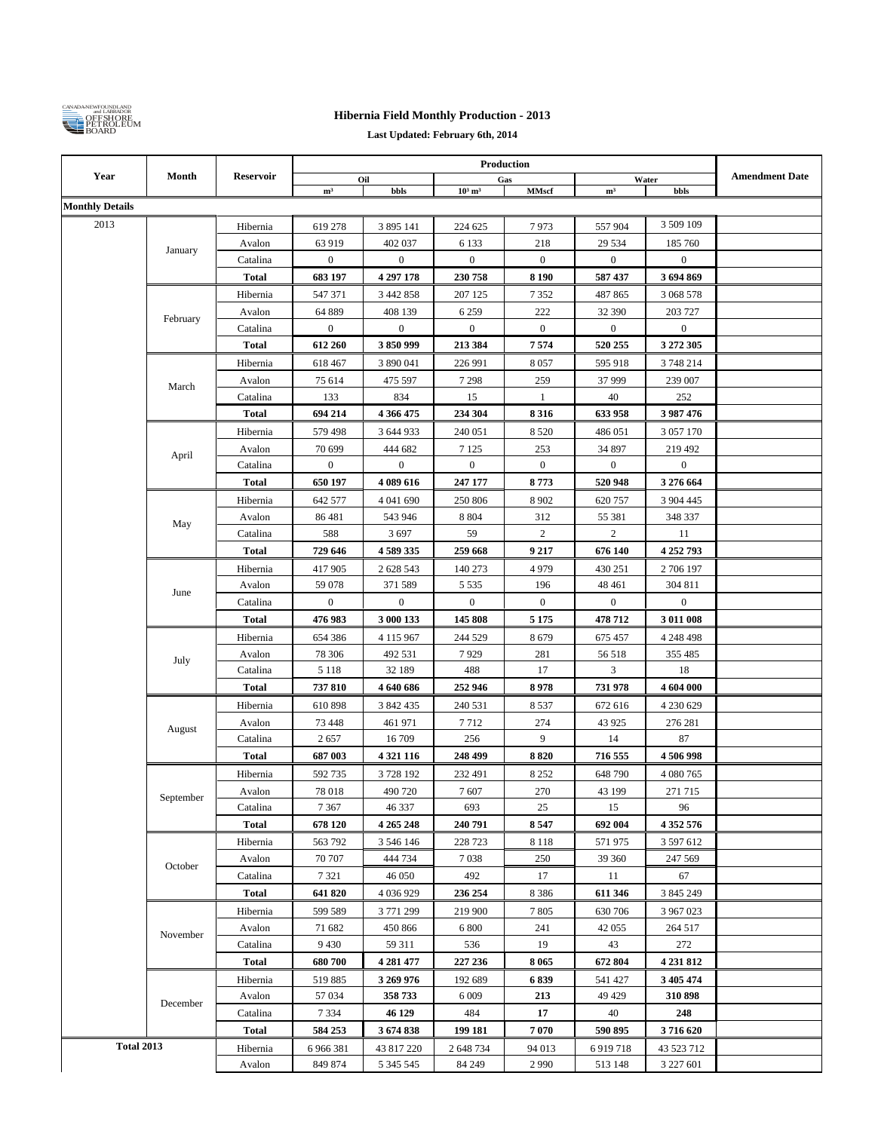

## **Hibernia Field Monthly Production - 2013**

**Last Updated: February 6th, 2014**

| Year                   |                   |                                                                                 |                                                                                                                                                                                                                                                                            |               |                       |                     |                  |                  |                       |
|------------------------|-------------------|---------------------------------------------------------------------------------|----------------------------------------------------------------------------------------------------------------------------------------------------------------------------------------------------------------------------------------------------------------------------|---------------|-----------------------|---------------------|------------------|------------------|-----------------------|
|                        | Month             | <b>Reservoir</b>                                                                |                                                                                                                                                                                                                                                                            | Oil<br>bbls   | $10^3$ m <sup>3</sup> | Gas<br><b>MMscf</b> |                  | Water<br>bbls    | <b>Amendment Date</b> |
| <b>Monthly Details</b> |                   |                                                                                 | m <sup>3</sup>                                                                                                                                                                                                                                                             |               |                       |                     | m <sup>3</sup>   |                  |                       |
| 2013                   |                   |                                                                                 |                                                                                                                                                                                                                                                                            |               |                       |                     |                  | 3 509 109        |                       |
|                        |                   | Hibernia                                                                        | 619 278                                                                                                                                                                                                                                                                    | 3 895 141     | 224 625               | 7973                | 557 904          |                  |                       |
|                        | January           | Avalon<br>63 919<br>402 037<br>$\boldsymbol{0}$<br>Catalina<br>$\boldsymbol{0}$ | 6 1 3 3                                                                                                                                                                                                                                                                    | 218           | 29 5 34               | 185 760             |                  |                  |                       |
|                        |                   |                                                                                 |                                                                                                                                                                                                                                                                            |               | $\boldsymbol{0}$      | $\boldsymbol{0}$    | $\boldsymbol{0}$ | $\boldsymbol{0}$ |                       |
|                        |                   | <b>Total</b>                                                                    | 683 197                                                                                                                                                                                                                                                                    | 4 297 178     | 230 758               | 8 1 9 0             | 587 437          | 3 694 869        |                       |
|                        |                   | Hibernia                                                                        | 547 371                                                                                                                                                                                                                                                                    | 3 442 858     | 207 125               | 7352                | 487 865          | 3 068 578        |                       |
|                        | February          | Avalon                                                                          | 64 889                                                                                                                                                                                                                                                                     | 408 139       | 6 2 5 9               | 222                 | 32 390           | 203 727          |                       |
|                        |                   | Catalina                                                                        | $\boldsymbol{0}$                                                                                                                                                                                                                                                           | $\bf{0}$      | $\boldsymbol{0}$      | $\boldsymbol{0}$    | $\boldsymbol{0}$ | $\boldsymbol{0}$ |                       |
|                        |                   | <b>Total</b>                                                                    | 612 260                                                                                                                                                                                                                                                                    | 3850999       | 213 384               | 7574                | 520 255          | 3 272 305        |                       |
|                        |                   | Hibernia                                                                        | 618 467                                                                                                                                                                                                                                                                    | 3 890 041     | 226 991               | 8057                | 595 918          | 3 748 214        |                       |
|                        | March             | Avalon                                                                          | 75 614                                                                                                                                                                                                                                                                     | 475 597       | 7 2 9 8               | 259                 | 37 999           | 239 007          |                       |
|                        |                   | Catalina                                                                        | 133                                                                                                                                                                                                                                                                        | 834           | 15                    | $\mathbf{1}$        | 40               | 252              |                       |
|                        |                   | <b>Total</b>                                                                    | 694 214                                                                                                                                                                                                                                                                    | 4 366 475     | 234 304               | 8316                | 633 958          | 3 987 476        |                       |
|                        | April             | Hibernia                                                                        | 579 498                                                                                                                                                                                                                                                                    | 3 644 933     | 240 051               | 8 5 2 0             | 486 051          | 3 057 170        |                       |
|                        |                   | Avalon                                                                          | 70 699                                                                                                                                                                                                                                                                     | 444 682       | 7 1 2 5               | 253                 | 34 897           | 219 492          |                       |
|                        |                   | Catalina                                                                        | $\boldsymbol{0}$                                                                                                                                                                                                                                                           | $\bf{0}$      | $\boldsymbol{0}$      | $\boldsymbol{0}$    | $\boldsymbol{0}$ | $\boldsymbol{0}$ |                       |
|                        |                   | <b>Total</b>                                                                    | 650 197                                                                                                                                                                                                                                                                    | 4 089 616     | 247 177               | 8773                | 520 948          | 3 276 664        |                       |
|                        |                   | Hibernia                                                                        | 642 577                                                                                                                                                                                                                                                                    | 4 041 690     | 250 806               | 8 9 0 2             | 620 757          | 3 904 445        |                       |
|                        | May               | Avalon                                                                          | 86481                                                                                                                                                                                                                                                                      | 543 946       | 8 8 0 4               | 312                 | 55 381           | 348 337          |                       |
|                        |                   | Catalina                                                                        | 588                                                                                                                                                                                                                                                                        | 3697          | 59                    | $\overline{c}$      | 2                | 11               |                       |
|                        |                   | <b>Total</b>                                                                    | 729 646                                                                                                                                                                                                                                                                    | 4589335       | 259 668               | 9 2 1 7             | 676 140          | 4 252 793        |                       |
|                        |                   | Hibernia                                                                        | 4979<br>417 905<br>2 628 543<br>140 273<br>430 251<br>2 706 197<br>196<br>48 4 61<br>Avalon<br>59 078<br>371 589<br>5 5 3 5<br>304 811<br>$\boldsymbol{0}$<br>$\boldsymbol{0}$<br>$\boldsymbol{0}$<br>$\boldsymbol{0}$<br>$\boldsymbol{0}$<br>$\boldsymbol{0}$<br>Catalina |               |                       |                     |                  |                  |                       |
|                        | June              |                                                                                 |                                                                                                                                                                                                                                                                            |               |                       |                     |                  |                  |                       |
|                        |                   |                                                                                 |                                                                                                                                                                                                                                                                            |               |                       |                     |                  |                  |                       |
|                        |                   | <b>Total</b>                                                                    | 476 983                                                                                                                                                                                                                                                                    | 3 000 133     | 145 808               | 5 1 7 5             | 478 712          | 3 011 008        |                       |
|                        |                   | Hibernia                                                                        | 654 386                                                                                                                                                                                                                                                                    | 4 1 1 5 9 6 7 | 244 529               | 8679                | 675 457          | 4 248 498        |                       |
|                        | July              | Avalon                                                                          | 78 30 6                                                                                                                                                                                                                                                                    | 492 531       | 7929                  | 281                 | 56 518           | 355 485          |                       |
|                        |                   | Catalina                                                                        | 5 1 1 8                                                                                                                                                                                                                                                                    | 32 189        | 488                   | 17                  | 3                | 18               |                       |
|                        |                   | <b>Total</b>                                                                    | 737810                                                                                                                                                                                                                                                                     | 4 640 686     | 252 946               | 8978                | 731 978          | 4 604 000        |                       |
|                        |                   | Hibernia                                                                        | 610 898                                                                                                                                                                                                                                                                    | 3 842 435     | 240 531               | 8537                | 672 616          | 4 230 629        |                       |
|                        | August            | Avalon                                                                          | 73 448                                                                                                                                                                                                                                                                     | 461 971       | 7712                  | 274                 | 43 9 25          | 276 281          |                       |
|                        |                   | Catalina                                                                        | 2657                                                                                                                                                                                                                                                                       | 16 709        | 256                   | 9                   | 14               | 87               |                       |
|                        |                   | <b>Total</b>                                                                    | 687 003                                                                                                                                                                                                                                                                    | 4 3 21 11 6   | 248 499               | 8820                | 716 555          | 4 506 998        |                       |
|                        |                   | Hibernia                                                                        | 592 735                                                                                                                                                                                                                                                                    | 3728192       | 232 491               | 8 2 5 2             | 648 790          | 4 080 765        |                       |
|                        | ${\bf September}$ | Avalon                                                                          | 78 018                                                                                                                                                                                                                                                                     | 490 720       | 7607                  | 270                 | 43 199           | 271 715          |                       |
|                        |                   | Catalina                                                                        | 7 3 6 7                                                                                                                                                                                                                                                                    | 46 337        | 693                   | 25                  | 15               | 96               |                       |
|                        |                   | Total                                                                           | 678 120                                                                                                                                                                                                                                                                    | 4 265 248     | 240 791               | 8547                | 692 004          | 4 3 5 2 5 7 6    |                       |
|                        |                   | Hibernia                                                                        | 563 792                                                                                                                                                                                                                                                                    | 3 546 146     | 228 723               | 8 1 1 8             | 571975           | 3 597 612        |                       |
|                        | October           | Avalon                                                                          | 70 707                                                                                                                                                                                                                                                                     | 444 734       | 7 0 38                | 250                 | 39 360           | 247 569          |                       |
|                        |                   | Catalina                                                                        | 7 3 2 1                                                                                                                                                                                                                                                                    | 46 050        | 492                   | 17                  | 11               | 67               |                       |
|                        |                   | Total                                                                           | 641 820                                                                                                                                                                                                                                                                    | 4 0 3 6 9 2 9 | 236 254               | 8 3 8 6             | 611 346          | 3 845 249        |                       |
|                        |                   | Hibernia                                                                        | 599 589                                                                                                                                                                                                                                                                    | 3771299       | 219 900               | 7805                | 630 706          | 3 967 023        |                       |
|                        | November          | Avalon                                                                          | 71 682                                                                                                                                                                                                                                                                     | 450 866       | 6 800                 | 241                 | 42 055           | 264 517          |                       |
|                        |                   | Catalina                                                                        | 9 4 3 0                                                                                                                                                                                                                                                                    | 59 311        | 536                   | 19                  | 43               | 272              |                       |
|                        |                   | Total                                                                           | 680700                                                                                                                                                                                                                                                                     | 4 281 477     | 227 236               | 8 0 6 5             | 672 804          | 4 231 812        |                       |
|                        |                   | Hibernia                                                                        | 519885                                                                                                                                                                                                                                                                     | 3 269 976     | 192 689               | 6839                | 541 427          | 3 4 0 5 4 7 4    |                       |
|                        | December          | Avalon                                                                          | 57 034                                                                                                                                                                                                                                                                     | 358 733       | 6 0 0 9               | 213                 | 49 429           | 310 898          |                       |
|                        |                   | Catalina                                                                        | 7 3 3 4                                                                                                                                                                                                                                                                    | 46 129        | 484                   | 17                  | 40               | 248              |                       |
|                        |                   | Total                                                                           | 584 253                                                                                                                                                                                                                                                                    | 3674838       | 199 181               | 7070                | 590 895          | 3716620          |                       |
| <b>Total 2013</b>      |                   | Hibernia                                                                        | 6 966 381                                                                                                                                                                                                                                                                  | 43 817 220    | 2 648 734             | 94 013              | 6919718          | 43 523 712       |                       |
|                        |                   | Avalon                                                                          | 849 874                                                                                                                                                                                                                                                                    | 5 3 4 5 5 4 5 | 84 249                | 2990                | 513 148          | 3 227 601        |                       |